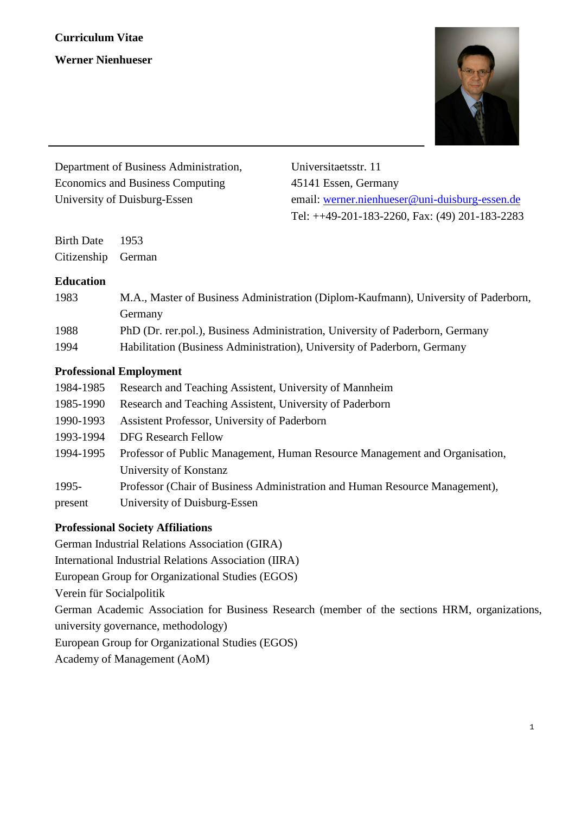

| Department of Business Administration, | Universitaetsstr. 11                              |
|----------------------------------------|---------------------------------------------------|
| Economics and Business Computing       | 45141 Essen, Germany                              |
| University of Duisburg-Essen           | email: werner.nienhueser@uni-duisburg-essen.de    |
|                                        | Tel: $++49-201-183-2260$ , Fax: (49) 201-183-2283 |

Birth Date 1953 Citizenship German

#### **Education**

| 1983 | M.A., Master of Business Administration (Diplom-Kaufmann), University of Paderborn, |
|------|-------------------------------------------------------------------------------------|
|      | Germany                                                                             |
| 1988 | PhD (Dr. rer.pol.), Business Administration, University of Paderborn, Germany       |
| 1994 | Habilitation (Business Administration), University of Paderborn, Germany            |

#### **Professional Employment**

| 1984-1985 | Research and Teaching Assistent, University of Mannheim                     |
|-----------|-----------------------------------------------------------------------------|
| 1985-1990 | Research and Teaching Assistent, University of Paderborn                    |
| 1990-1993 | Assistent Professor, University of Paderborn                                |
| 1993-1994 | <b>DFG Research Fellow</b>                                                  |
| 1994-1995 | Professor of Public Management, Human Resource Management and Organisation, |
|           | University of Konstanz                                                      |
| 1995-     | Professor (Chair of Business Administration and Human Resource Management), |
| present   | University of Duisburg-Essen                                                |
|           |                                                                             |

#### **Professional Society Affiliations**

German Industrial Relations Association (GIRA)

International Industrial Relations Association (IIRA)

European Group for Organizational Studies (EGOS)

Verein für Socialpolitik

German Academic Association for Business Research (member of the sections HRM, organizations, university governance, methodology)

European Group for Organizational Studies (EGOS)

Academy of Management (AoM)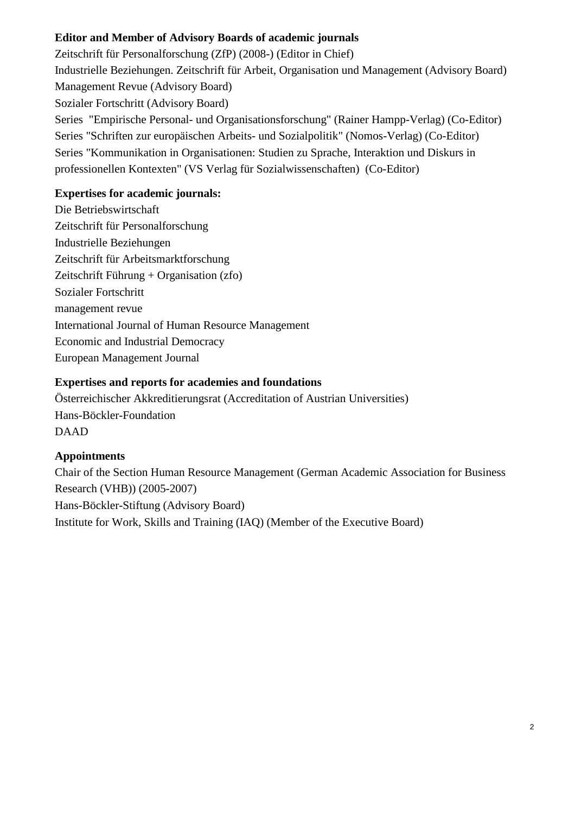# **Editor and Member of Advisory Boards of academic journals**

Zeitschrift für Personalforschung (ZfP) (2008-) (Editor in Chief) Industrielle Beziehungen. Zeitschrift für Arbeit, Organisation und Management (Advisory Board) Management Revue (Advisory Board) Sozialer Fortschritt (Advisory Board) Series "Empirische Personal- und Organisationsforschung" (Rainer Hampp-Verlag) (Co-Editor) Series "Schriften zur europäischen Arbeits- und Sozialpolitik" (Nomos-Verlag) (Co-Editor) Series "Kommunikation in Organisationen: Studien zu Sprache, Interaktion und Diskurs in professionellen Kontexten" (VS Verlag für Sozialwissenschaften) (Co-Editor)

### **Expertises for academic journals:**

Die Betriebswirtschaft Zeitschrift für Personalforschung Industrielle Beziehungen Zeitschrift für Arbeitsmarktforschung Zeitschrift Führung + Organisation (zfo) Sozialer Fortschritt management revue International Journal of Human Resource Management Economic and Industrial Democracy European Management Journal

# **Expertises and reports for academies and foundations**

Österreichischer Akkreditierungsrat (Accreditation of Austrian Universities) Hans-Böckler-Foundation DAAD

#### **Appointments**

Chair of the Section Human Resource Management (German Academic Association for Business Research (VHB)) (2005-2007) Hans-Böckler-Stiftung (Advisory Board) Institute for Work, Skills and Training (IAQ) (Member of the Executive Board)